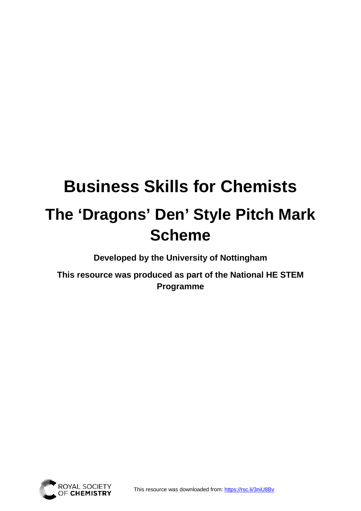# **Business Skills for Chemists The 'Dragons' Den' Style Pitch Mark Scheme**

**Developed by the University of Nottingham** 

**This resource was produced as part of the National HE STEM Programme**

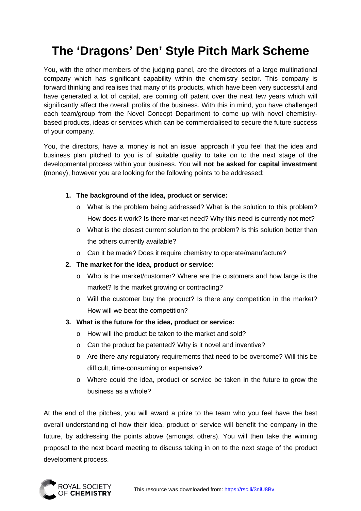## **The 'Dragons' Den' Style Pitch Mark Scheme**

You, with the other members of the judging panel, are the directors of a large multinational company which has significant capability within the chemistry sector. This company is forward thinking and realises that many of its products, which have been very successful and have generated a lot of capital, are coming off patent over the next few years which will significantly affect the overall profits of the business. With this in mind, you have challenged each team/group from the Novel Concept Department to come up with novel chemistrybased products, ideas or services which can be commercialised to secure the future success of your company.

You, the directors, have a 'money is not an issue' approach if you feel that the idea and business plan pitched to you is of suitable quality to take on to the next stage of the developmental process within your business. You will **not be asked for capital investment** (money), however you are looking for the following points to be addressed:

#### **1. The background of the idea, product or service:**

- o What is the problem being addressed? What is the solution to this problem? How does it work? Is there market need? Why this need is currently not met?
- o What is the closest current solution to the problem? Is this solution better than the others currently available?
- o Can it be made? Does it require chemistry to operate/manufacture?
- **2. The market for the idea, product or service:**
	- o Who is the market/customer? Where are the customers and how large is the market? Is the market growing or contracting?
	- o Will the customer buy the product? Is there any competition in the market? How will we beat the competition?

### **3. What is the future for the idea, product or service:**

- o How will the product be taken to the market and sold?
- o Can the product be patented? Why is it novel and inventive?
- o Are there any regulatory requirements that need to be overcome? Will this be difficult, time-consuming or expensive?
- o Where could the idea, product or service be taken in the future to grow the business as a whole?

At the end of the pitches, you will award a prize to the team who you feel have the best overall understanding of how their idea, product or service will benefit the company in the future, by addressing the points above (amongst others). You will then take the winning proposal to the next board meeting to discuss taking in on to the next stage of the product development process.